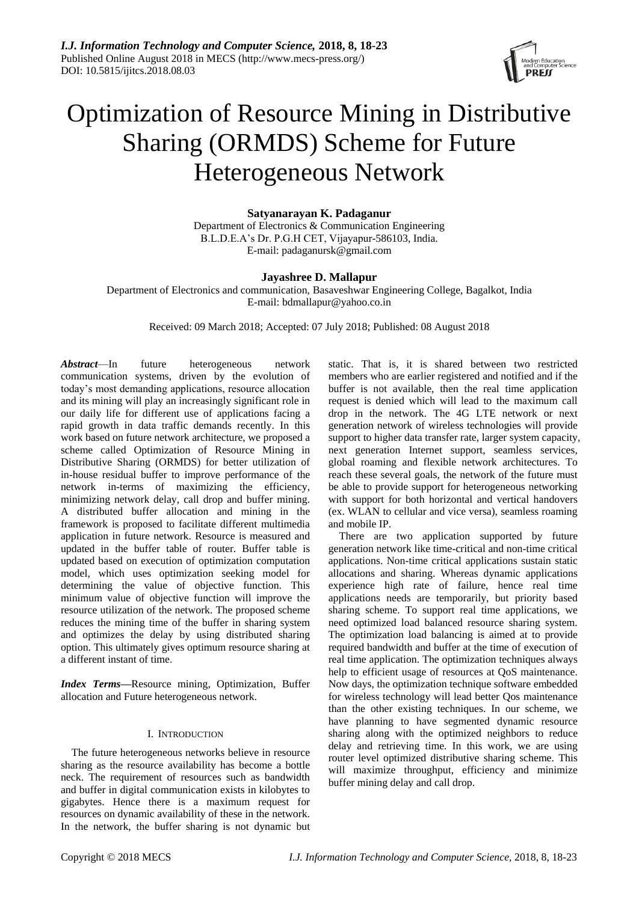

# Optimization of Resource Mining in Distributive Sharing (ORMDS) Scheme for Future Heterogeneous Network

**Satyanarayan K. Padaganur** Department of Electronics & Communication Engineering B.L.D.E.A's Dr. P.G.H CET, Vijayapur-586103, India. E-mail: padaganursk@gmail.com

# **Jayashree D. Mallapur**

Department of Electronics and communication, Basaveshwar Engineering College, Bagalkot, India E-mail: bdmallapur@yahoo.co.in

Received: 09 March 2018; Accepted: 07 July 2018; Published: 08 August 2018

*Abstract*—In future heterogeneous network communication systems, driven by the evolution of today's most demanding applications, resource allocation and its mining will play an increasingly significant role in our daily life for different use of applications facing a rapid growth in data traffic demands recently. In this work based on future network architecture, we proposed a scheme called Optimization of Resource Mining in Distributive Sharing (ORMDS) for better utilization of in-house residual buffer to improve performance of the network in-terms of maximizing the efficiency, minimizing network delay, call drop and buffer mining. A distributed buffer allocation and mining in the framework is proposed to facilitate different multimedia application in future network. Resource is measured and updated in the buffer table of router. Buffer table is updated based on execution of optimization computation model, which uses optimization seeking model for determining the value of objective function. This minimum value of objective function will improve the resource utilization of the network. The proposed scheme reduces the mining time of the buffer in sharing system and optimizes the delay by using distributed sharing option. This ultimately gives optimum resource sharing at a different instant of time.

*Index Terms***—**Resource mining, Optimization, Buffer allocation and Future heterogeneous network.

## I. INTRODUCTION

The future heterogeneous networks believe in resource sharing as the resource availability has become a bottle neck. The requirement of resources such as bandwidth and buffer in digital communication exists in kilobytes to gigabytes. Hence there is a maximum request for resources on dynamic availability of these in the network. In the network, the buffer sharing is not dynamic but static. That is, it is shared between two restricted members who are earlier registered and notified and if the buffer is not available, then the real time application request is denied which will lead to the maximum call drop in the network. The 4G LTE network or next generation network of wireless technologies will provide support to higher data transfer rate, larger system capacity, next generation Internet support, seamless services, global roaming and flexible network architectures. To reach these several goals, the network of the future must be able to provide support for heterogeneous networking with support for both horizontal and vertical handovers (ex. WLAN to cellular and vice versa), seamless roaming and mobile IP.

There are two application supported by future generation network like time-critical and non-time critical applications. Non-time critical applications sustain static allocations and sharing. Whereas dynamic applications experience high rate of failure, hence real time applications needs are temporarily, but priority based sharing scheme. To support real time applications, we need optimized load balanced resource sharing system. The optimization load balancing is aimed at to provide required bandwidth and buffer at the time of execution of real time application. The optimization techniques always help to efficient usage of resources at QoS maintenance. Now days, the optimization technique software embedded for wireless technology will lead better Qos maintenance than the other existing techniques. In our scheme, we have planning to have segmented dynamic resource sharing along with the optimized neighbors to reduce delay and retrieving time. In this work, we are using router level optimized distributive sharing scheme. This will maximize throughput, efficiency and minimize buffer mining delay and call drop.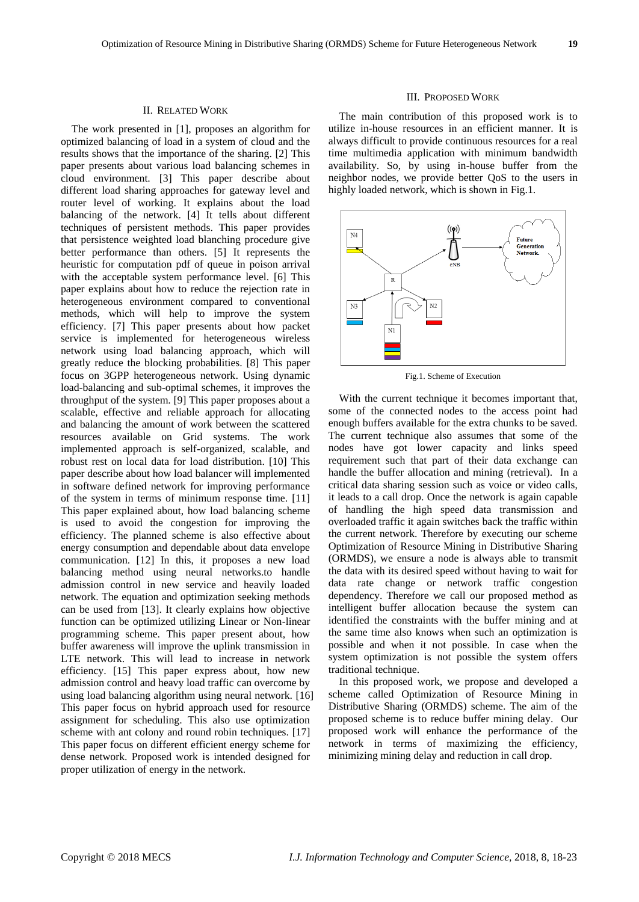## II. RELATED WORK

The work presented in [1], proposes an algorithm for optimized balancing of load in a system of cloud and the results shows that the importance of the sharing. [2] This paper presents about various load balancing schemes in cloud environment. [3] This paper describe about different load sharing approaches for gateway level and router level of working. It explains about the load balancing of the network. [4] It tells about different techniques of persistent methods. This paper provides that persistence weighted load blanching procedure give better performance than others. [5] It represents the heuristic for computation pdf of queue in poison arrival with the acceptable system performance level. [6] This paper explains about how to reduce the rejection rate in heterogeneous environment compared to conventional methods, which will help to improve the system efficiency. [7] This paper presents about how packet service is implemented for heterogeneous wireless network using load balancing approach, which will greatly reduce the blocking probabilities. [8] This paper focus on 3GPP heterogeneous network. Using dynamic load-balancing and sub-optimal schemes, it improves the throughput of the system. [9] This paper proposes about a scalable, effective and reliable approach for allocating and balancing the amount of work between the scattered resources available on Grid systems. The work implemented approach is self-organized, scalable, and robust rest on local data for load distribution. [10] This paper describe about how load balancer will implemented in software defined network for improving performance of the system in terms of minimum response time. [11] This paper explained about, how load balancing scheme is used to avoid the congestion for improving the efficiency. The planned scheme is also effective about energy consumption and dependable about data envelope communication. [12] In this, it proposes a new load balancing method using neural networks.to handle admission control in new service and heavily loaded network. The equation and optimization seeking methods can be used from [13]. It clearly explains how objective function can be optimized utilizing Linear or Non-linear programming scheme. This paper present about, how buffer awareness will improve the uplink transmission in LTE network. This will lead to increase in network efficiency. [15] This paper express about, how new admission control and heavy load traffic can overcome by using load balancing algorithm using neural network. [16] This paper focus on hybrid approach used for resource assignment for scheduling. This also use optimization scheme with ant colony and round robin techniques. [17] This paper focus on different efficient energy scheme for dense network. Proposed work is intended designed for proper utilization of energy in the network.

## III. PROPOSED WORK

The main contribution of this proposed work is to utilize in-house resources in an efficient manner. It is always difficult to provide continuous resources for a real time multimedia application with minimum bandwidth availability. So, by using in-house buffer from the neighbor nodes, we provide better QoS to the users in highly loaded network, which is shown in Fig.1.



Fig.1. Scheme of Execution

With the current technique it becomes important that, some of the connected nodes to the access point had enough buffers available for the extra chunks to be saved. The current technique also assumes that some of the nodes have got lower capacity and links speed requirement such that part of their data exchange can handle the buffer allocation and mining (retrieval). In a critical data sharing session such as voice or video calls, it leads to a call drop. Once the network is again capable of handling the high speed data transmission and overloaded traffic it again switches back the traffic within the current network. Therefore by executing our scheme Optimization of Resource Mining in Distributive Sharing (ORMDS), we ensure a node is always able to transmit the data with its desired speed without having to wait for data rate change or network traffic congestion dependency. Therefore we call our proposed method as intelligent buffer allocation because the system can identified the constraints with the buffer mining and at the same time also knows when such an optimization is possible and when it not possible. In case when the system optimization is not possible the system offers traditional technique.

In this proposed work, we propose and developed a scheme called Optimization of Resource Mining in Distributive Sharing (ORMDS) scheme. The aim of the proposed scheme is to reduce buffer mining delay. Our proposed work will enhance the performance of the network in terms of maximizing the efficiency, minimizing mining delay and reduction in call drop.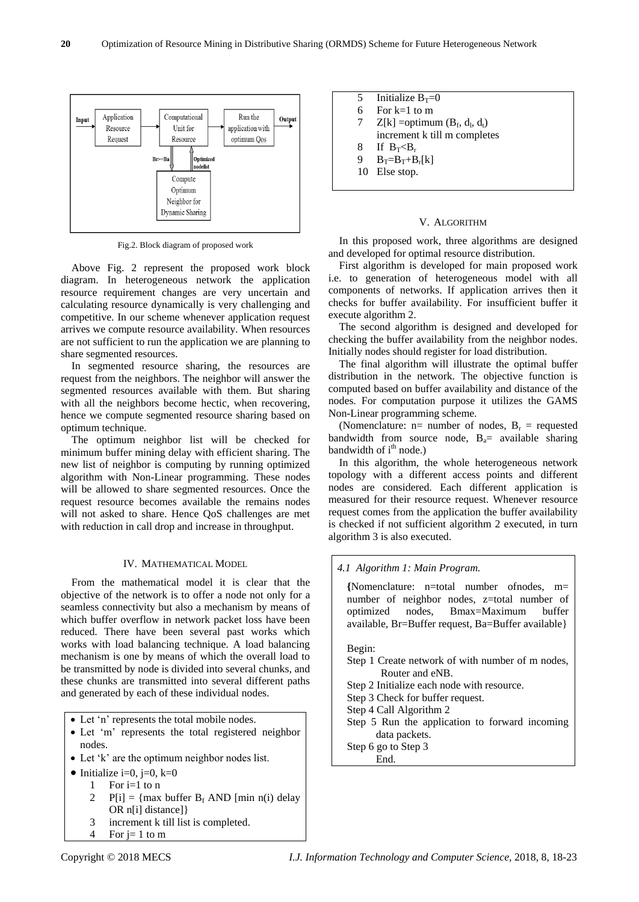

Fig.2. Block diagram of proposed work

Above Fig. 2 represent the proposed work block diagram. In heterogeneous network the application resource requirement changes are very uncertain and calculating resource dynamically is very challenging and competitive. In our scheme whenever application request arrives we compute resource availability. When resources are not sufficient to run the application we are planning to share segmented resources.

In segmented resource sharing, the resources are request from the neighbors. The neighbor will answer the segmented resources available with them. But sharing with all the neighbors become hectic, when recovering, hence we compute segmented resource sharing based on optimum technique.

The optimum neighbor list will be checked for minimum buffer mining delay with efficient sharing. The new list of neighbor is computing by running optimized algorithm with Non-Linear programming. These nodes will be allowed to share segmented resources. Once the request resource becomes available the remains nodes will not asked to share. Hence QoS challenges are met with reduction in call drop and increase in throughput.

## IV. MATHEMATICAL MODEL

From the mathematical model it is clear that the objective of the network is to offer a node not only for a seamless connectivity but also a mechanism by means of which buffer overflow in network packet loss have been reduced. There have been several past works which works with load balancing technique. A load balancing mechanism is one by means of which the overall load to be transmitted by node is divided into several chunks, and these chunks are transmitted into several different paths and generated by each of these individual nodes.

- Let 'n' represents the total mobile nodes.
- Let 'm' represents the total registered neighbor nodes.
- Let 'k' are the optimum neighbor nodes list.
- Initialize i=0, j=0, k=0
	- 1 For  $i=1$  to n
	- 2 P[i] = {max buffer  $B_f$  AND [min n(i) delay OR n[i] distance]}
	- 3 increment k till list is completed.
	- 4 For  $j=1$  to m

5 Initialize  $B_T=0$ 6 For k=1 to m 7  $Z[k] =$ optimum  $(B_f, d_l, d_t)$ increment k till m completes 8 If  $B_T < B_r$ 9  $B_T=B_T+B_r[k]$ 10 Else stop.

#### V. ALGORITHM

In this proposed work, three algorithms are designed and developed for optimal resource distribution.

First algorithm is developed for main proposed work i.e. to generation of heterogeneous model with all components of networks. If application arrives then it checks for buffer availability. For insufficient buffer it execute algorithm 2.

The second algorithm is designed and developed for checking the buffer availability from the neighbor nodes. Initially nodes should register for load distribution.

The final algorithm will illustrate the optimal buffer distribution in the network. The objective function is computed based on buffer availability and distance of the nodes. For computation purpose it utilizes the GAMS Non-Linear programming scheme.

(Nomenclature:  $n=$  number of nodes,  $B_r$  = requested bandwidth from source node,  $B_a$ = available sharing bandwidth of  $i<sup>th</sup>$  node.)

In this algorithm, the whole heterogeneous network topology with a different access points and different nodes are considered. Each different application is measured for their resource request. Whenever resource request comes from the application the buffer availability is checked if not sufficient algorithm 2 executed, in turn algorithm 3 is also executed.

## *4.1 Algorithm 1: Main Program.*

**{**Nomenclature: n=total number ofnodes, m= number of neighbor nodes, z=total number of optimized nodes, Bmax=Maximum buffer available, Br=Buffer request, Ba=Buffer available}

## Begin:

Step 1 Create network of with number of m nodes, Router and eNB.

Step 2 Initialize each node with resource.

Step 3 Check for buffer request.

Step 4 Call Algorithm 2

Step 5 Run the application to forward incoming data packets.

Step 6 go to Step 3 End.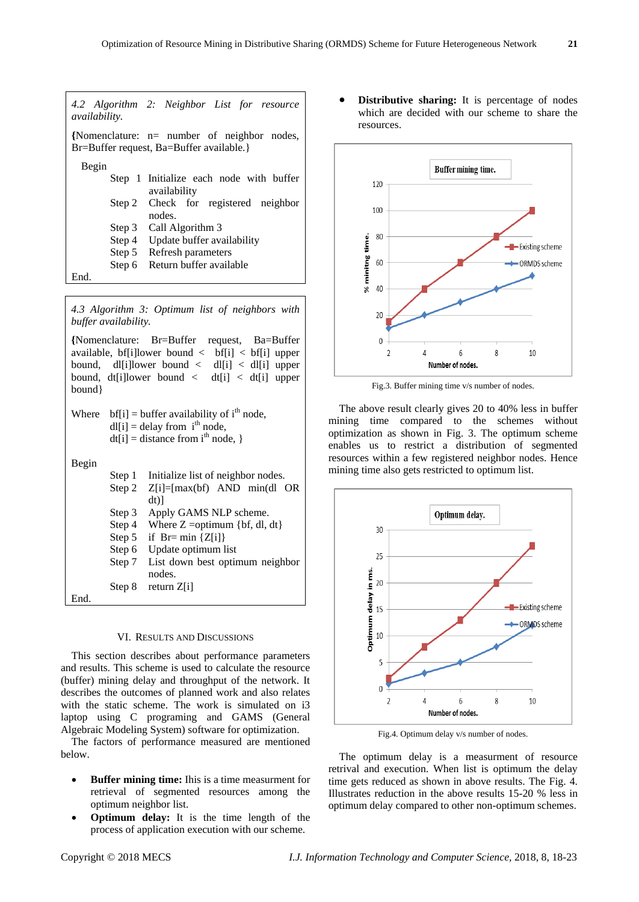| <i>availability.</i> | 4.2 Algorithm 2: Neighbor List for resource                                               |
|----------------------|-------------------------------------------------------------------------------------------|
|                      | {Nomenclature: $n=$ number of neighbor nodes,<br>Br=Buffer request, Ba=Buffer available.} |
| Begin                |                                                                                           |
|                      | Step 1 Initialize each node with buffer                                                   |
|                      | availability                                                                              |
|                      | Step 2 Check for registered neighbor                                                      |
|                      | nodes.                                                                                    |
|                      | Step 3 Call Algorithm 3                                                                   |
|                      | Step 4 Update buffer availability                                                         |
|                      | Step 5 Refresh parameters                                                                 |
| Step 6               | Return buffer available                                                                   |
| End.                 |                                                                                           |

*4.3 Algorithm 3: Optimum list of neighbors with buffer availability.*

**{**Nomenclature: Br=Buffer request, Ba=Buffer available, bf[i]lower bound < bf[i] < bf[i] upper bound, dl[i]lower bound  $\langle$  dl[i]  $\langle$  dl[i] upper bound, dt[i]lower bound  $\langle$  dt[i]  $\langle$  dt[i] upper bound}

Where  $bf[i] = buffer$  availability of i<sup>th</sup> node,  $dl[i] =$  delay from  $i<sup>th</sup>$  node,  $dt[i] = distance from i<sup>th</sup> node,$ 

 $\overline{B}$ 

| Begin |        |                                    |
|-------|--------|------------------------------------|
|       | Step 1 | Initialize list of neighbor nodes. |
|       | Step 2 | $Z[i] = [max(bt)$ AND min(dl OR    |
|       |        | dt)                                |
|       | Step 3 | Apply GAMS NLP scheme.             |
|       | Step 4 | Where $Z =$ = optimum {bf, dl, dt} |
|       | Step 5 | if $Br= min \{Z[i]\}$              |
|       | Step 6 | Update optimum list                |
|       | Step 7 | List down best optimum neighbor    |
|       |        | nodes.                             |
|       | Step 8 | return $Z[i]$                      |
| End.  |        |                                    |
|       |        |                                    |

## VI. RESULTS AND DISCUSSIONS

This section describes about performance parameters and results. This scheme is used to calculate the resource (buffer) mining delay and throughput of the network. It describes the outcomes of planned work and also relates with the static scheme. The work is simulated on i3 laptop using C programing and GAMS (General Algebraic Modeling System) software for optimization.

The factors of performance measured are mentioned below.

- **Buffer mining time:** Ihis is a time measurment for retrieval of segmented resources among the optimum neighbor list.
- **Optimum delay:** It is the time length of the process of application execution with our scheme.

**Distributive sharing:** It is percentage of nodes which are decided with our scheme to share the resources.



Fig.3. Buffer mining time v/s number of nodes.

The above result clearly gives 20 to 40% less in buffer mining time compared to the schemes without optimization as shown in Fig. 3. The optimum scheme enables us to restrict a distribution of segmented resources within a few registered neighbor nodes. Hence mining time also gets restricted to optimum list.



Fig.4. Optimum delay v/s number of nodes.

The optimum delay is a measurment of resource retrival and execution. When list is optimum the delay time gets reduced as shown in above results. The Fig. 4. Illustrates reduction in the above results 15-20 % less in optimum delay compared to other non-optimum schemes.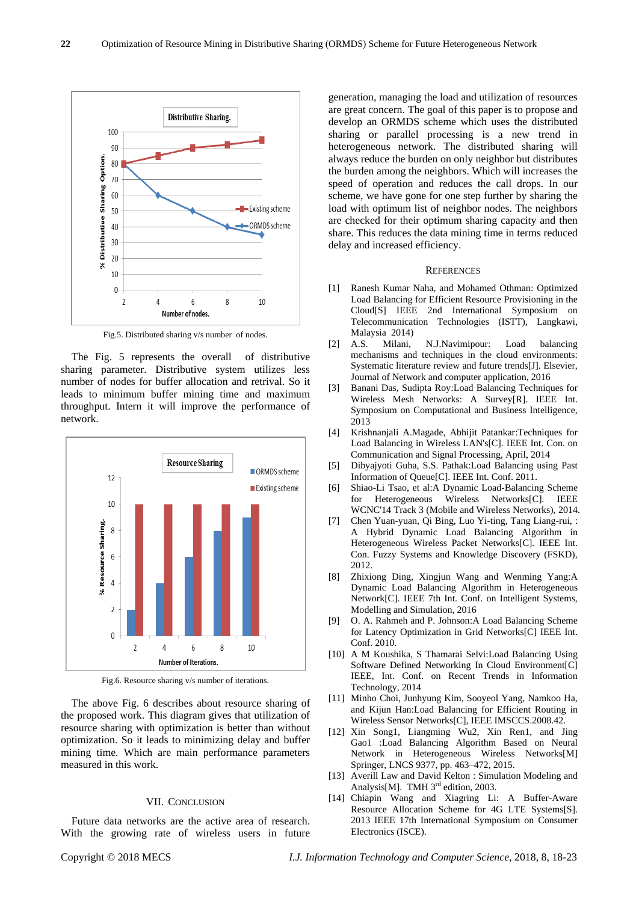

Fig.5. Distributed sharing v/s number of nodes.

The Fig. 5 represents the overall of distributive sharing parameter. Distributive system utilizes less number of nodes for buffer allocation and retrival. So it leads to minimum buffer mining time and maximum throughput. Intern it will improve the performance of network.



Fig.6. Resource sharing v/s number of iterations.

The above Fig. 6 describes about resource sharing of the proposed work. This diagram gives that utilization of resource sharing with optimization is better than without optimization. So it leads to minimizing delay and buffer mining time. Which are main performance parameters measured in this work.

## VII. CONCLUSION

Future data networks are the active area of research. With the growing rate of wireless users in future generation, managing the load and utilization of resources are great concern. The goal of this paper is to propose and develop an ORMDS scheme which uses the distributed sharing or parallel processing is a new trend in heterogeneous network. The distributed sharing will always reduce the burden on only neighbor but distributes the burden among the neighbors. Which will increases the speed of operation and reduces the call drops. In our scheme, we have gone for one step further by sharing the load with optimum list of neighbor nodes. The neighbors are checked for their optimum sharing capacity and then share. This reduces the data mining time in terms reduced delay and increased efficiency.

#### **REFERENCES**

- [1] Ranesh Kumar Naha, and Mohamed Othman: Optimized Load Balancing for Efficient Resource Provisioning in the Cloud[S] IEEE 2nd International Symposium on Telecommunication Technologies (ISTT), Langkawi, Malaysia 2014)
- [2] A.S. Milani, N.J.Navimipour: Load balancing mechanisms and techniques in the cloud environments: Systematic literature review and future trends[J]. Elsevier, Journal of Network and computer application, 2016
- [3] Banani Das, Sudipta Roy:Load Balancing Techniques for Wireless Mesh Networks: A Survey[R]. IEEE Int. Symposium on Computational and Business Intelligence, 2013
- [4] Krishnanjali A.Magade, Abhijit Patankar:Techniques for Load Balancing in Wireless LAN's[C]. IEEE Int. Con. on Communication and Signal Processing, April, 2014
- [5] Dibyajyoti Guha, S.S. Pathak:Load Balancing using Past Information of Queue[C]. IEEE Int. Conf. 2011.
- [6] Shiao-Li Tsao, et al:A Dynamic Load-Balancing Scheme for Heterogeneous Wireless Networks[C]. IEEE WCNC'14 Track 3 (Mobile and Wireless Networks), 2014.
- [7] Chen Yuan-yuan, Qi Bing, Luo Yi-ting, Tang Liang-rui, : A Hybrid Dynamic Load Balancing Algorithm in Heterogeneous Wireless Packet Networks[C]. IEEE Int. Con. Fuzzy Systems and Knowledge Discovery (FSKD), 2012.
- [8] Zhixiong Ding, Xingjun Wang and Wenming Yang:A Dynamic Load Balancing Algorithm in Heterogeneous Network[C]. IEEE 7th Int. Conf. on Intelligent Systems, Modelling and Simulation, 2016
- [9] O. A. Rahmeh and P. Johnson:A Load Balancing Scheme for Latency Optimization in Grid Networks[C] IEEE Int. Conf. 2010.
- [10] A M Koushika, S Thamarai Selvi:Load Balancing Using Software Defined Networking In Cloud Environment[C] IEEE, Int. Conf. on Recent Trends in Information Technology, 2014
- [11] Minho Choi, Junhyung Kim, Sooyeol Yang, Namkoo Ha, and Kijun Han:Load Balancing for Efficient Routing in Wireless Sensor Networks[C], IEEE IMSCCS.2008.42.
- [12] Xin Song1, Liangming Wu2, Xin Ren1, and Jing Gao1 :Load Balancing Algorithm Based on Neural Network in Heterogeneous Wireless Networks[M] Springer, LNCS 9377, pp. 463–472, 2015.
- [13] Averill Law and David Kelton : Simulation Modeling and Analysis[M]. TMH  $3<sup>rd</sup>$  edition, 2003.
- [14] Chiapin Wang and Xiagring Li: A Buffer-Aware Resource Allocation Scheme for 4G LTE Systems[S]. 2013 IEEE 17th International Symposium on Consumer Electronics (ISCE).